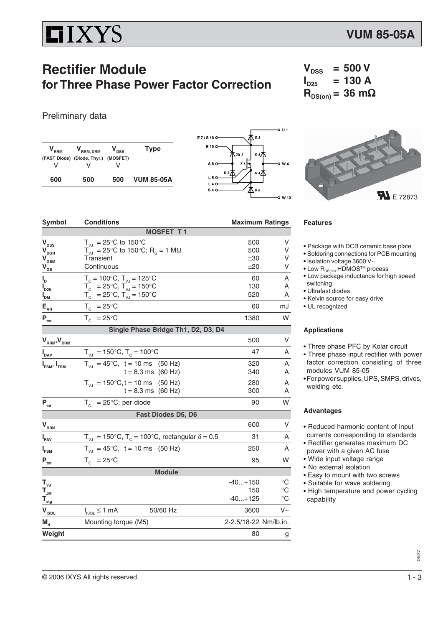# **HIXYS**

### **Rectifier Module for Three Phase Power Factor Correction**

### Preliminary data

| <b>RRM</b> | RRM, DRM                             | <b>DSS</b> | <b>Type</b>       |
|------------|--------------------------------------|------------|-------------------|
|            | (FAST Diode) (Diode, Thyr.) (MOSFET) |            |                   |
| v          |                                      |            |                   |
| 600        | 500                                  | 500        | <b>VUM 85-05A</b> |





| Symbol                            | <b>Conditions</b>                                                    |                       | <b>Maximum Ratings</b> |  |  |
|-----------------------------------|----------------------------------------------------------------------|-----------------------|------------------------|--|--|
|                                   | <b>MOSFET T1</b>                                                     |                       |                        |  |  |
| $\mathbf{V}_{\mathrm{DSS}}$       | $T_{VJ}$ = 25°C to 150°C                                             | 500                   | V                      |  |  |
| $\mathbf{V}_{\text{DGR}}$         | $T_{V_1}$ = 25°C to 150°C; R <sub>G</sub> = 1 MΩ                     | 500                   | V                      |  |  |
| $\mathbf{V}_{\texttt{GSM}}$       | Transient                                                            | ±30                   | V                      |  |  |
| ${\mathsf V}_{\operatorname{gs}}$ | Continuous                                                           | ±20                   | V                      |  |  |
| ı,                                | $T_c = 100^{\circ}$ C, $T_{VJ} = 125^{\circ}$ C                      | 60                    | A                      |  |  |
| $\boldsymbol{I}_{D25}$            | $T_c = 25^{\circ}$ C, $T_w = 150^{\circ}$ C                          | 130                   | A                      |  |  |
| $I_{DM}$                          | $T_c = 25^{\circ}C$ , $T_w = 150^{\circ}C$                           | 520                   | A                      |  |  |
| $\mathsf{E}_{\mathsf{AR}}$        | $T_c = 25^{\circ}$ C                                                 | 60                    | mJ                     |  |  |
| $P_{\rm tot}$                     | $T_c = 25^{\circ}$ C                                                 | 1380                  | W                      |  |  |
|                                   | Single Phase Bridge Th1, D2, D3, D4                                  |                       |                        |  |  |
| $V_{\rm RRM}$ , $V_{\rm DRM}$     |                                                                      | 500                   | V                      |  |  |
| $I_{\text{DAV}}$                  | $T_{V_1}$ = 150°C, $T_c$ = 100°C                                     | 47                    | A                      |  |  |
| $I_{FSM}$ , $I_{TSM}$             | $T_{V1}$ = 45°C, t = 10 ms (50 Hz)                                   | 320                   | Α                      |  |  |
|                                   | $t = 8.3$ ms (60 Hz)                                                 | 340                   | A                      |  |  |
|                                   | $T_{V1}$ = 150°C, t = 10 ms (50 Hz)                                  | 280                   | A                      |  |  |
|                                   | $t = 8.3$ ms $(60$ Hz)                                               | 300                   | A                      |  |  |
| $P_{\text{tot}}$                  | $= 25^{\circ}$ C; per diode<br>$T_c$                                 | 90                    | W                      |  |  |
|                                   | Fast Diodes D5, D6                                                   |                       |                        |  |  |
| $V_{RRM}$                         |                                                                      | 600                   | V                      |  |  |
| $I_{FAV}$                         | $T_{VU}$ = 150°C, T <sub>c</sub> = 100°C, rectangular $\delta$ = 0.5 | 31                    | Α                      |  |  |
| $I_{FSM}$                         | $T_{V,1} = 45^{\circ}C$ , t = 10 ms (50 Hz)                          | 250                   | Α                      |  |  |
| $P_{\rm tot}$                     | $T_c = 25^{\circ}C$                                                  | 95                    | W                      |  |  |
|                                   | <b>Module</b>                                                        |                       |                        |  |  |
| $T_{\nu J}$                       |                                                                      | $-40+150$             | $^{\circ}C$            |  |  |
| $T_{\text{JM}}$                   |                                                                      | 150                   | $^{\circ}C$            |  |  |
| $T_{\frac{stg}{}}$                |                                                                      | $-40+125$             | $^{\circ}C$            |  |  |
| $V_{ISOL}$                        | $I_{ISOL} \leq 1$ mA<br>50/60 Hz                                     | 3600                  | $V_{\sim}$             |  |  |
| $M_{\rm d}$                       | Mounting torque (M5)                                                 | 2-2.5/18-22 Nm/lb.in. |                        |  |  |
| Weight                            |                                                                      | 80                    | g                      |  |  |
|                                   |                                                                      |                       |                        |  |  |

#### **Features**

- Package with DCB ceramic base plate
- Soldering connections for PCB mounting
- Isolation voltage 3600 V~

 $V_{DSS}$  = 500 V<br> $I_{D25}$  = 130 A

 $R_{DS(on)}$  = 36 mΩ

 $= 130 A$ 

- Low  $R_{DS(on)}$  HDMOS<sup>TM</sup> process
- Low package inductance for high speed switching
- Ultrafast diodes
- Kelvin source for easy drive
- UL recognized

#### **Applications**

- Three phase PFC by Kolar circuit
- Three phase input rectifier with power factor correction consisting of three modules VUM 85-05
- For power supplies, UPS, SMPS, drives, welding etc.

#### **Advantages**

- Reduced harmonic content of input currents corresponding to standards
- Rectifier generates maximum DC power with a given AC fuse
- Wide input voltage range
- No external isolation
- Easy to mount with two screws
- Suitable for wave soldering
- High temperature and power cycling capability

0627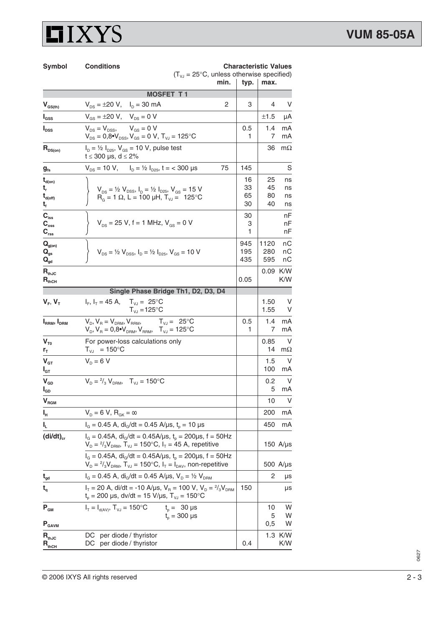## **LIXYS**

| Symbol                                                                                | <b>Conditions</b>                                                                                                                                                                                                                    | <b>Characteristic Values</b> |                      |                      |  |
|---------------------------------------------------------------------------------------|--------------------------------------------------------------------------------------------------------------------------------------------------------------------------------------------------------------------------------------|------------------------------|----------------------|----------------------|--|
|                                                                                       | $(T_{\text{VJ}} = 25^{\circ}C$ , unless otherwise specified)<br>min.                                                                                                                                                                 |                              | typ.<br>max.         |                      |  |
|                                                                                       | <b>MOSFET T1</b>                                                                                                                                                                                                                     |                              |                      |                      |  |
| $V_{GS(th)}$                                                                          | $V_{DS} = \pm 20 V$ , $I_D = 30 mA$<br>2                                                                                                                                                                                             | 3                            | 4                    | V                    |  |
| $\mathbf{I}_{\texttt{GSS}}$                                                           | $V_{\text{GS}} = \pm 20 \text{ V}, \quad V_{\text{DS}} = 0 \text{ V}$                                                                                                                                                                |                              | ±1.5                 | μA                   |  |
| $I_{DSS}$                                                                             | $V_{DS} = V_{DSS}$ , $V_{GS} = 0$ V<br>$V_{DS} = 0.8 \cdot V_{DSS}$ , $V_{GS} = 0$ V, $T_{VJ} = 125$ °C                                                                                                                              | 0.5<br>1                     | 1.4<br>7             | mA<br>mA             |  |
| $R_{DS(on)}$                                                                          | $I_D = \frac{1}{2} I_{D25}$ , $V_{GS} = 10 V$ , pulse test<br>t ≤ 300 µs, d ≤ 2%                                                                                                                                                     |                              | 36                   | $m\Omega$            |  |
| $g_{\rm fs}$                                                                          | $V_{DS}$ = 10 V, $I_D = \frac{1}{2} I_{D25}$ , t = < 300 µs<br>75                                                                                                                                                                    | 145                          |                      | S                    |  |
| $\mathbf{t}_{\text{d}(on)}$<br>t,<br>$t_{\text{d(off)}}$<br>t,                        | $V_{DS} = \frac{1}{2} V_{DSS}$ , $I_D = \frac{1}{2} I_{D25}$ , $V_{GS} = 15 V$<br>$R_{\rm g}$ = 1 $\Omega$ , L = 100 µH, T <sub>vJ</sub> = 125 °C                                                                                    | 16<br>33<br>65<br>30         | 25<br>45<br>80<br>40 | ns<br>ns<br>ns<br>ns |  |
| $\mathbf{C}_{\mathrm{iss}}$<br>$C_{\rm oss}$<br>$\mathbf{C}_{\mathrm{rss}}$           | $V_{DS}$ = 25 V, f = 1 MHz, $V_{GS}$ = 0 V                                                                                                                                                                                           | 30<br>3<br>1                 |                      | nF<br>nF<br>nF       |  |
| $\mathbf{Q}_{\text{g(on)}}$<br>$\mathbf{Q}_{\text{gs}}$<br>$\mathbf{Q}_{\mathsf{gd}}$ | $V_{DS} = \frac{1}{2} V_{DSS}$ , $I_D = \frac{1}{2} I_{D25}$ , $V_{GS} = 10 V$                                                                                                                                                       | 945<br>195<br>435            | 1120<br>280<br>595   | nС<br>nС<br>nС       |  |
| $R_{thJC}$<br>$R_{thCH}$                                                              |                                                                                                                                                                                                                                      | 0.05                         | 0.09                 | K/W<br>K/W           |  |
|                                                                                       | Single Phase Bridge Th1, D2, D3, D4                                                                                                                                                                                                  |                              |                      |                      |  |
| $V_F$ , $V_T$                                                                         | $I_F$ , $I_T = 45$ A, $T_{VJ} = 25$ °C<br>$T_{\rm{VJ}} = 125^{\circ}C$                                                                                                                                                               |                              | 1.50<br>1.55         | V<br>V               |  |
| $I_{RRM}$ , $I_{DRM}$                                                                 | $V_{D}$ , $V_{R} = V_{DRM}$ , $V_{RRM}$ , $T_{VJ} = 25^{\circ}C$<br>$\boldsymbol{V}_{\text{D}}, \boldsymbol{V}_{\text{R}} = 0.8\text{eV}_{\text{DRM}}, \boldsymbol{V}_{\text{RRM}}, \quad \boldsymbol{T}_{\text{VJ}} = 125\text{°C}$ | 0.5<br>1                     | 1.4<br>7             | mA<br>mA             |  |
| $V_{T0}$<br>r <sub>T</sub>                                                            | For power-loss calculations only<br>$T_{VJ}$ = 150°C                                                                                                                                                                                 |                              | 0.85<br>14           | V<br>$m\Omega$       |  |
| $\mathbf{V}_{\texttt{GT}}$<br>$I_{GT}$                                                | $V_D = 6 V$                                                                                                                                                                                                                          |                              | 1.5<br>100           | V<br>mA              |  |
| $V_{GD}$<br>$I_{GD}$                                                                  | $V_{D} = \frac{2}{3} V_{DRM}$ , $T_{V,I} = 150 \degree C$                                                                                                                                                                            |                              | 0.2<br>5             | V<br>mA              |  |
| $\mathbf{V}_{\texttt{RGM}}$                                                           |                                                                                                                                                                                                                                      |                              | 10                   | V                    |  |
| ı,                                                                                    | $V_D = 6 V, R_{GK} = \infty$                                                                                                                                                                                                         |                              | 200                  | mA                   |  |
| ı,                                                                                    | $I_G = 0.45$ A, di <sub>G</sub> /dt = 0.45 A/µs, t <sub>o</sub> = 10 µs                                                                                                                                                              |                              | 450                  | mA                   |  |
| $(dil/dt)_{cr}$                                                                       | $I_G = 0.45A$ , di <sub>G</sub> /dt = 0.45A/µs, t <sub>p</sub> = 200µs, f = 50Hz<br>$V_{D} = \frac{2}{3} V_{DRM}$ , T <sub>vJ</sub> = 150°C, I <sub>T</sub> = 45 A, repetitive                                                       |                              |                      | 150 $A/\mu s$        |  |
|                                                                                       | $I_G = 0.45A$ , di <sub>G</sub> /dt = 0.45A/µs, t <sub>p</sub> = 200µs, f = 50Hz<br>$V_D = \frac{2}{3} V_{DRM}$ , $T_{VJ} = 150^{\circ}$ C, $I_T = I_{DAV}$ , non-repetitive                                                         |                              |                      | 500 A/µs             |  |
| $\mathbf{t}_{\mathsf{gd}}$                                                            | $I_G = 0.45$ A, di <sub>G</sub> /dt = 0.45 A/µs, $V_D = \frac{1}{2} V_{DRM}$                                                                                                                                                         |                              | 2                    | μs                   |  |
| $t_{q}$                                                                               | $I_T = 20$ A, di/dt = -10 A/µs, $V_R = 100$ V, $V_D = \frac{2}{3}V_{DRM}$<br>$t_p = 200 \text{ }\mu\text{s}, \text{ d}v/\text{d}t = 15 \text{ V}/\mu\text{s}, T_{vJ} = 150^{\circ}\text{C}$                                          | 150                          |                      | μs                   |  |
| $\mathbf{P}_{\text{GM}}$                                                              | $I_T = I_{d(AV)}$ , $T_{VJ} = 150^{\circ}C$<br>$t_p = 30 \,\mu s$<br>$t_{o}$ = 300 µs                                                                                                                                                |                              | 10<br>5              | W<br>W               |  |
| $P_{GAVM}$                                                                            |                                                                                                                                                                                                                                      |                              | 0,5                  | W                    |  |
| $\mathbf{R}_{\text{thJC}}$<br>$R_{thCH}$                                              | per diode / thyristor<br>DC<br>per diode / thyristor<br>DC.                                                                                                                                                                          | 0.4                          | 1.3                  | K/W<br>K/W           |  |